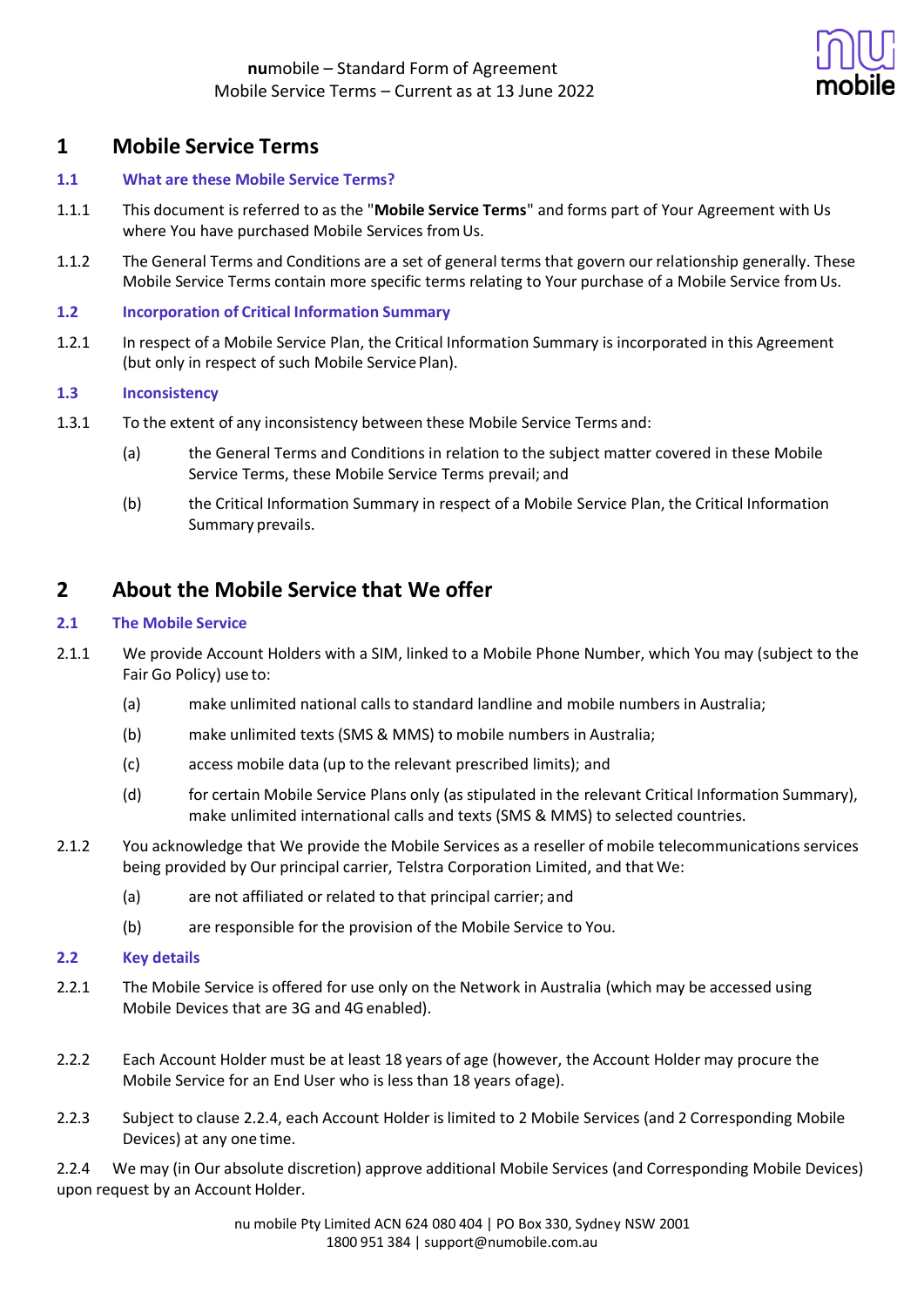

## **1 Mobile Service Terms**

### **1.1 What are these Mobile Service Terms?**

- 1.1.1 This document is referred to as the "**Mobile Service Terms**" and forms part of Your Agreement with Us where You have purchased Mobile Services from Us.
- 1.1.2 The General Terms and Conditions are a set of general terms that govern our relationship generally. These Mobile Service Terms contain more specific terms relating to Your purchase of a Mobile Service fromUs.

### **1.2 Incorporation of Critical Information Summary**

1.2.1 In respect of a Mobile Service Plan, the Critical Information Summary is incorporated in this Agreement (but only in respect of such Mobile Service Plan).

### **1.3 Inconsistency**

- 1.3.1 To the extent of any inconsistency between these Mobile Service Terms and:
	- (a) the General Terms and Conditions in relation to the subject matter covered in these Mobile Service Terms, these Mobile Service Terms prevail; and
	- (b) the Critical Information Summary in respect of a Mobile Service Plan, the Critical Information Summary prevails.

## **2 About the Mobile Service that We offer**

### **2.1 The Mobile Service**

- 2.1.1 We provide Account Holders with a SIM, linked to a Mobile Phone Number, which You may (subject to the Fair Go Policy) use to:
	- (a) make unlimited national calls to standard landline and mobile numbers in Australia;
	- (b) make unlimited texts (SMS & MMS) to mobile numbers in Australia;
	- (c) access mobile data (up to the relevant prescribed limits); and
	- (d) for certain Mobile Service Plans only (as stipulated in the relevant Critical Information Summary), make unlimited international calls and texts (SMS & MMS) to selected countries.
- 2.1.2 You acknowledge that We provide the Mobile Services as a reseller of mobile telecommunications services being provided by Our principal carrier, Telstra Corporation Limited, and thatWe:
	- (a) are not affiliated or related to that principal carrier; and
	- (b) are responsible for the provision of the Mobile Service to You.

### **2.2 Key details**

- 2.2.1 The Mobile Service is offered for use only on the Network in Australia (which may be accessed using Mobile Devices that are 3G and 4G enabled).
- 2.2.2 Each Account Holder must be at least 18 years of age (however, the Account Holder may procure the Mobile Service for an End User who is less than 18 years ofage).
- 2.2.3 Subject to clause 2.2.4, each Account Holder is limited to 2 Mobile Services (and 2 Corresponding Mobile Devices) at any one time.

2.2.4 We may (in Our absolute discretion) approve additional Mobile Services (and Corresponding Mobile Devices) upon request by an Account Holder.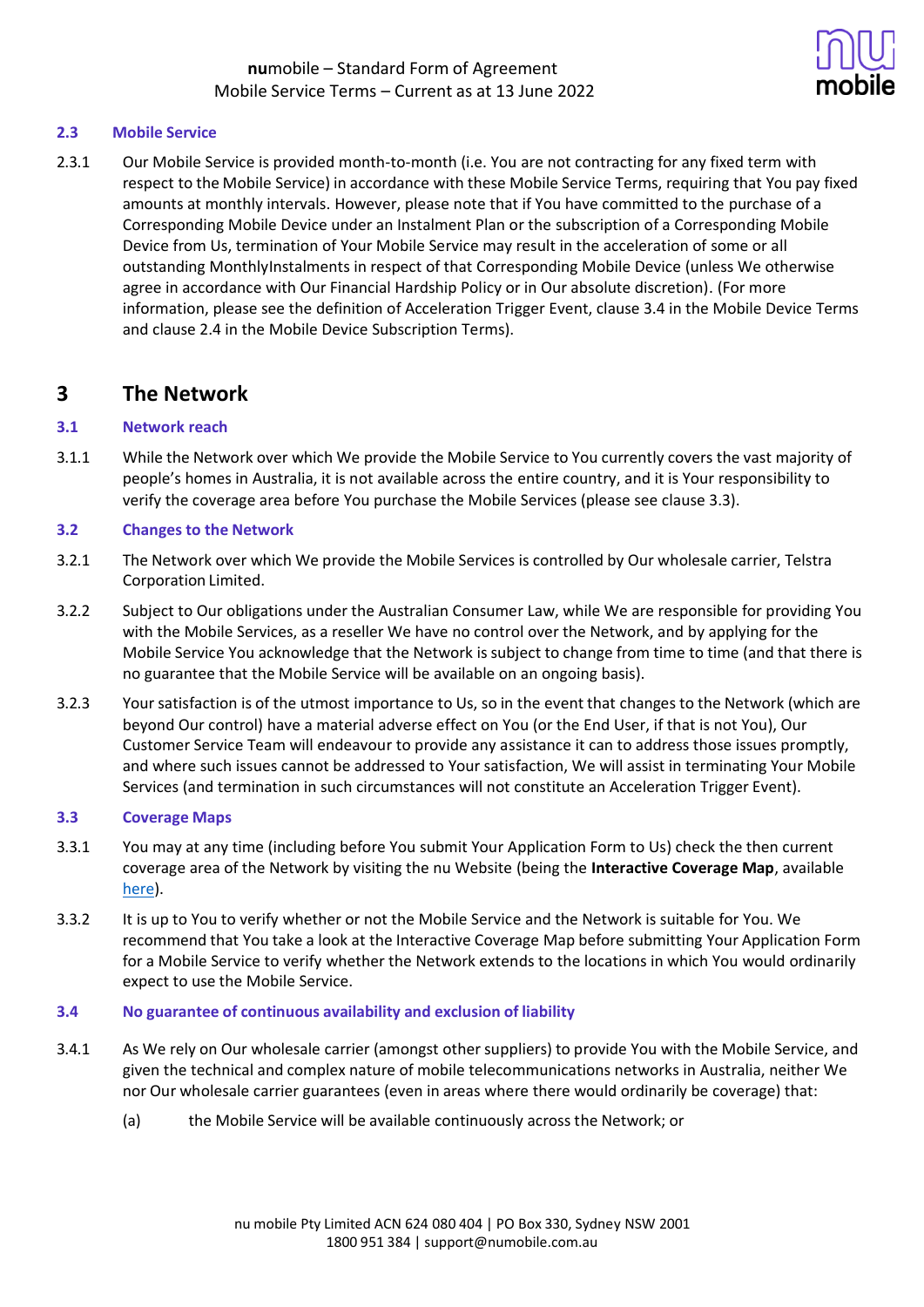

### **2.3 Mobile Service**

2.3.1 Our Mobile Service is provided month-to-month (i.e. You are not contracting for any fixed term with respect to the Mobile Service) in accordance with these Mobile Service Terms, requiring that You pay fixed amounts at monthly intervals. However, please note that if You have committed to the purchase of a Corresponding Mobile Device under an Instalment Plan or the subscription of a Corresponding Mobile Device from Us, termination of Your Mobile Service may result in the acceleration of some or all outstanding MonthlyInstalments in respect of that Corresponding Mobile Device (unless We otherwise agree in accordance with Our Financial Hardship Policy or in Our absolute discretion). (For more information, please see the definition of Acceleration Trigger Event, clause 3.4 in the Mobile Device Terms and clause 2.4 in the Mobile Device Subscription Terms).

## **3 The Network**

### **3.1 Network reach**

3.1.1 While the Network over which We provide the Mobile Service to You currently covers the vast majority of people's homes in Australia, it is not available across the entire country, and it is Your responsibility to verify the coverage area before You purchase the Mobile Services (please see clause 3.3).

### **3.2 Changes to the Network**

- 3.2.1 The Network over which We provide the Mobile Services is controlled by Our wholesale carrier, Telstra Corporation Limited.
- 3.2.2 Subject to Our obligations under the Australian Consumer Law, while We are responsible for providing You with the Mobile Services, as a reseller We have no control over the Network, and by applying for the Mobile Service You acknowledge that the Network is subject to change from time to time (and that there is no guarantee that the Mobile Service will be available on an ongoing basis).
- 3.2.3 Your satisfaction is of the utmost importance to Us, so in the event that changes to the Network (which are beyond Our control) have a material adverse effect on You (or the End User, if that is not You), Our Customer Service Team will endeavour to provide any assistance it can to address those issues promptly, and where such issues cannot be addressed to Your satisfaction, We will assist in terminating Your Mobile Services (and termination in such circumstances will not constitute an Acceleration Trigger Event).

### **3.3 Coverage Maps**

- 3.3.1 You may at any time (including before You submit Your Application Form to Us) check the then current coverage area of the Network by visiting the nu Website (being the **Interactive Coverage Map**, available here).
- 3.3.2 It is up to You to verify whether or not the Mobile Service and the Network is suitable for You. We recommend that You take a look at the Interactive Coverage Map before submitting Your Application Form for a Mobile Service to verify whether the Network extends to the locations in which You would ordinarily expect to use the Mobile Service.

### **3.4 No guarantee of continuous availability and exclusion of liability**

- 3.4.1 As We rely on Our wholesale carrier (amongst other suppliers) to provide You with the Mobile Service, and given the technical and complex nature of mobile telecommunications networks in Australia, neither We nor Our wholesale carrier guarantees (even in areas where there would ordinarily be coverage) that:
	- (a) the Mobile Service will be available continuously across the Network; or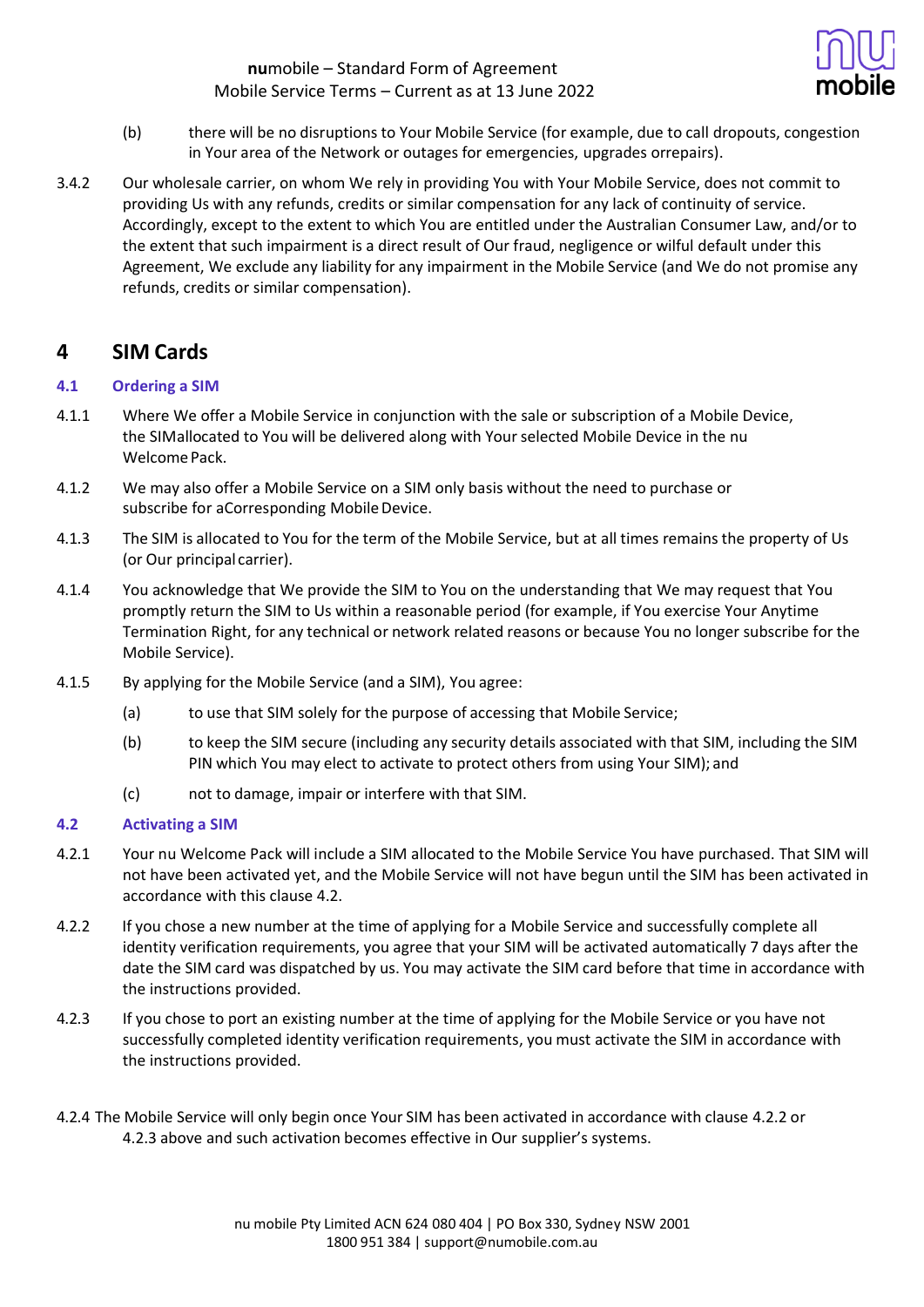

- (b) there will be no disruptions to Your Mobile Service (for example, due to call dropouts, congestion in Your area of the Network or outages for emergencies, upgrades orrepairs).
- 3.4.2 Our wholesale carrier, on whom We rely in providing You with Your Mobile Service, does not commit to providing Us with any refunds, credits or similar compensation for any lack of continuity of service. Accordingly, except to the extent to which You are entitled under the Australian Consumer Law, and/or to the extent that such impairment is a direct result of Our fraud, negligence or wilful default under this Agreement, We exclude any liability for any impairment in the Mobile Service (and We do not promise any refunds, credits or similar compensation).

## **4 SIM Cards**

### **4.1 Ordering a SIM**

- 4.1.1 Where We offer a Mobile Service in conjunction with the sale or subscription of a Mobile Device, the SIMallocated to You will be delivered along with Your selected Mobile Device in the nu Welcome Pack.
- 4.1.2 We may also offer a Mobile Service on a SIM only basis without the need to purchase or subscribe for aCorresponding Mobile Device.
- 4.1.3 The SIM is allocated to You for the term of the Mobile Service, but at all times remains the property of Us (or Our principal carrier).
- 4.1.4 You acknowledge that We provide the SIM to You on the understanding that We may request that You promptly return the SIM to Us within a reasonable period (for example, if You exercise Your Anytime Termination Right, for any technical or network related reasons or because You no longer subscribe for the Mobile Service).
- 4.1.5 By applying for the Mobile Service (and a SIM), You agree:
	- (a) to use that SIM solely for the purpose of accessing that Mobile Service;
	- (b) to keep the SIM secure (including any security details associated with that SIM, including the SIM PIN which You may elect to activate to protect others from using Your SIM); and
	- (c) not to damage, impair or interfere with that SIM.

### **4.2 Activating a SIM**

- 4.2.1 Your nu Welcome Pack will include a SIM allocated to the Mobile Service You have purchased. That SIM will not have been activated yet, and the Mobile Service will not have begun until the SIM has been activated in accordance with this clause 4.2.
- 4.2.2 If you chose a new number at the time of applying for a Mobile Service and successfully complete all identity verification requirements, you agree that your SIM will be activated automatically 7 days after the date the SIM card was dispatched by us. You may activate the SIM card before that time in accordance with the instructions provided.
- 4.2.3 If you chose to port an existing number at the time of applying for the Mobile Service or you have not successfully completed identity verification requirements, you must activate the SIM in accordance with the instructions provided.
- 4.2.4 The Mobile Service will only begin once Your SIM has been activated in accordance with clause 4.2.2 or 4.2.3 above and such activation becomes effective in Our supplier's systems.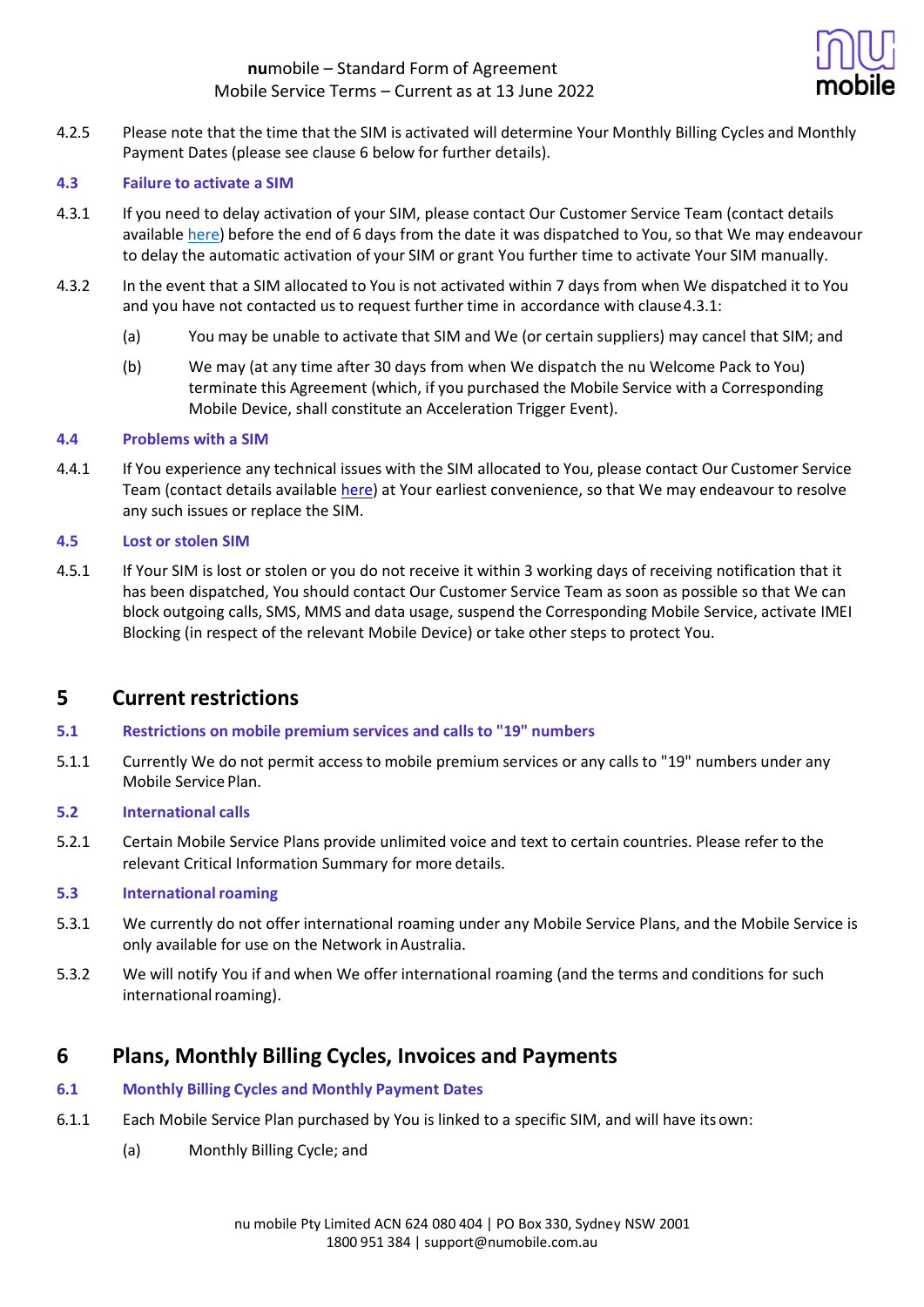

4.2.5 Please note that the time that the SIM is activated will determine Your Monthly Billing Cycles and Monthly Payment Dates (please see clause 6 below for further details).

### **4.3 Failure to activate a SIM**

- 4.3.1 If you need to delay activation of your SIM, please contact Our Customer Service Team (contact details available here) before the end of 6 days from the date it was dispatched to You, so that We may endeavour to delay the automatic activation of your SIM or grant You further time to activate Your SIM manually.
- 4.3.2 In the event that a SIM allocated to You is not activated within 7 days from when We dispatched it to You and you have not contacted us to request further time in accordance with clause4.3.1:
	- (a) You may be unable to activate that SIM and We (or certain suppliers) may cancel that SIM; and
	- (b) We may (at any time after 30 days from when We dispatch the nu Welcome Pack to You) terminate this Agreement (which, if you purchased the Mobile Service with a Corresponding Mobile Device, shall constitute an Acceleration Trigger Event).

### **4.4 Problems with a SIM**

4.4.1 If You experience any technical issues with the SIM allocated to You, please contact Our Customer Service Team (contact details available [here\)](https://help.numobile.com.au/hc/en-us) at Your earliest convenience, so that We may endeavour to resolve any such issues or replace the SIM.

### **4.5 Lost or stolen SIM**

4.5.1 If Your SIM is lost or stolen or you do not receive it within 3 working days of receiving notification that it has been dispatched, You should contact Our Customer Service Team as soon as possible so that We can block outgoing calls, SMS, MMS and data usage, suspend the Corresponding Mobile Service, activate IMEI Blocking (in respect of the relevant Mobile Device) or take other steps to protect You.

## **5 Current restrictions**

- **5.1 Restrictions on mobile premium services and calls to "19" numbers**
- 5.1.1 Currently We do not permit access to mobile premium services or any calls to "19" numbers under any Mobile Service Plan.

### **5.2 International calls**

5.2.1 Certain Mobile Service Plans provide unlimited voice and text to certain countries. Please refer to the relevant Critical Information Summary for more details.

### **5.3 Internationalroaming**

- 5.3.1 We currently do not offer international roaming under any Mobile Service Plans, and the Mobile Service is only available for use on the Network inAustralia.
- 5.3.2 We will notify You if and when We offer international roaming (and the terms and conditions for such international roaming).

## **6 Plans, Monthly Billing Cycles, Invoices and Payments**

### **6.1 Monthly Billing Cycles and Monthly Payment Dates**

- 6.1.1 Each Mobile Service Plan purchased by You is linked to a specific SIM, and will have its own:
	- (a) Monthly Billing Cycle; and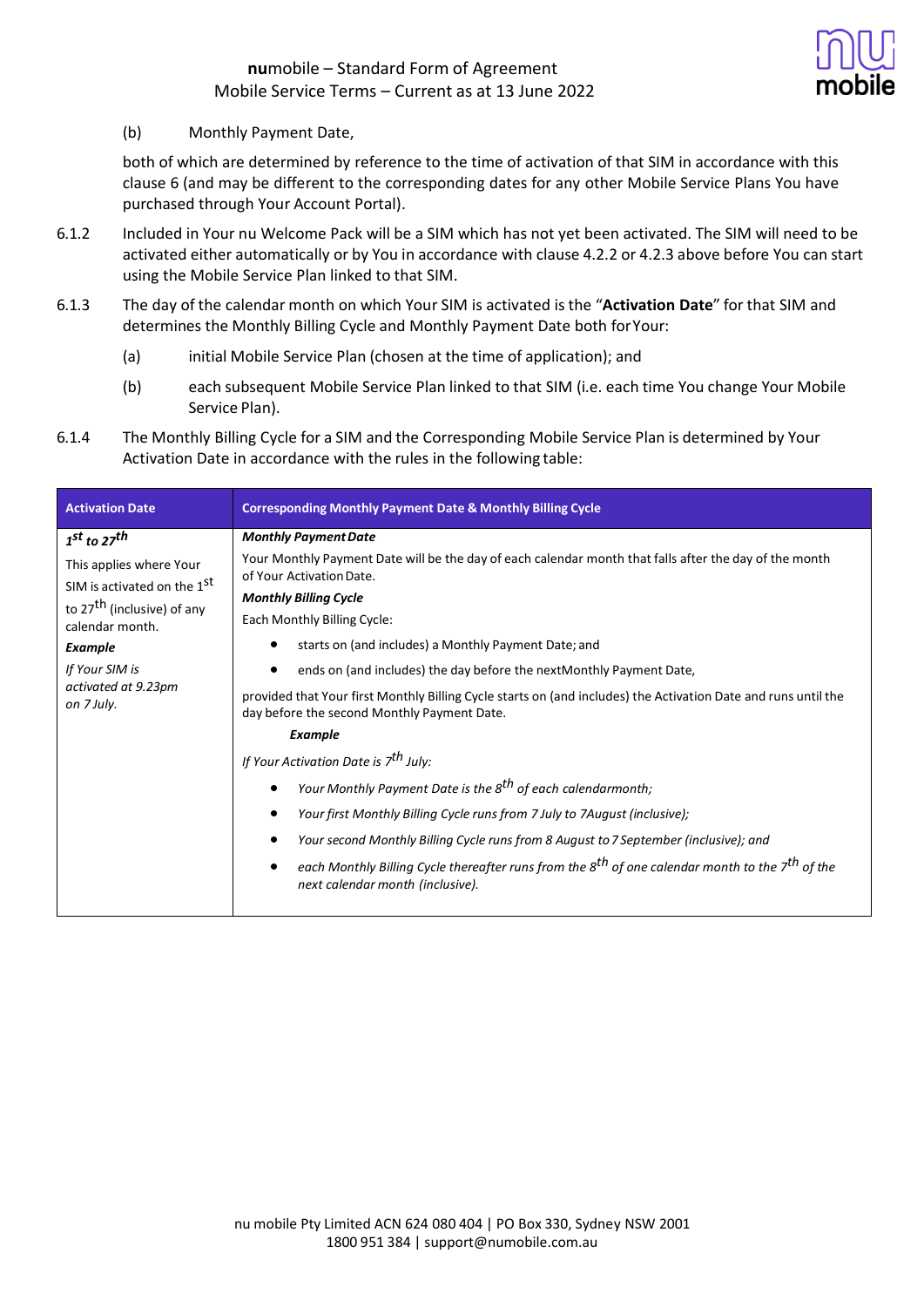

(b) Monthly Payment Date,

both of which are determined by reference to the time of activation of that SIM in accordance with this clause 6 (and may be different to the corresponding dates for any other Mobile Service Plans You have purchased through Your Account Portal).

- 6.1.2 Included in Your nu Welcome Pack will be a SIM which has not yet been activated. The SIM will need to be activated either automatically or by You in accordance with clause 4.2.2 or 4.2.3 above before You can start using the Mobile Service Plan linked to that SIM.
- 6.1.3 The day of the calendar month on which Your SIM is activated is the "**Activation Date**" for that SIM and determines the Monthly Billing Cycle and Monthly Payment Date both forYour:
	- (a) initial Mobile Service Plan (chosen at the time of application); and
	- (b) each subsequent Mobile Service Plan linked to that SIM (i.e. each time You change Your Mobile Service Plan).
- 6.1.4 The Monthly Billing Cycle for a SIM and the Corresponding Mobile Service Plan is determined by Your Activation Date in accordance with the rules in the following table:

| <b>Activation Date</b>                                                                                                                                                                                                      | <b>Corresponding Monthly Payment Date &amp; Monthly Billing Cycle</b>                                                                                                                                                                                                                                                                                                                                                                                                                                                                                                                                   |
|-----------------------------------------------------------------------------------------------------------------------------------------------------------------------------------------------------------------------------|---------------------------------------------------------------------------------------------------------------------------------------------------------------------------------------------------------------------------------------------------------------------------------------------------------------------------------------------------------------------------------------------------------------------------------------------------------------------------------------------------------------------------------------------------------------------------------------------------------|
| $1st$ to $27th$<br>This applies where Your<br>SIM is activated on the 1 <sup>st</sup><br>to 27 <sup>th</sup> (inclusive) of any<br>calendar month.<br><b>Example</b><br>If Your SIM is<br>activated at 9.23pm<br>on 7 July. | <b>Monthly Payment Date</b><br>Your Monthly Payment Date will be the day of each calendar month that falls after the day of the month<br>of Your Activation Date.<br><b>Monthly Billing Cycle</b><br>Each Monthly Billing Cycle:<br>starts on (and includes) a Monthly Payment Date; and<br>ends on (and includes) the day before the next Monthly Payment Date,<br>provided that Your first Monthly Billing Cycle starts on (and includes) the Activation Date and runs until the<br>day before the second Monthly Payment Date.<br><b>Example</b><br>If Your Activation Date is 7 <sup>th</sup> July: |
|                                                                                                                                                                                                                             | Your Monthly Payment Date is the 8 <sup>th</sup> of each calendarmonth;<br>Your first Monthly Billing Cycle runs from 7 July to 7August (inclusive);<br>Your second Monthly Billing Cycle runs from 8 August to 7 September (inclusive); and<br>each Monthly Billing Cycle thereafter runs from the 8 <sup>th</sup> of one calendar month to the 7 <sup>th</sup> of the<br>next calendar month (inclusive).                                                                                                                                                                                             |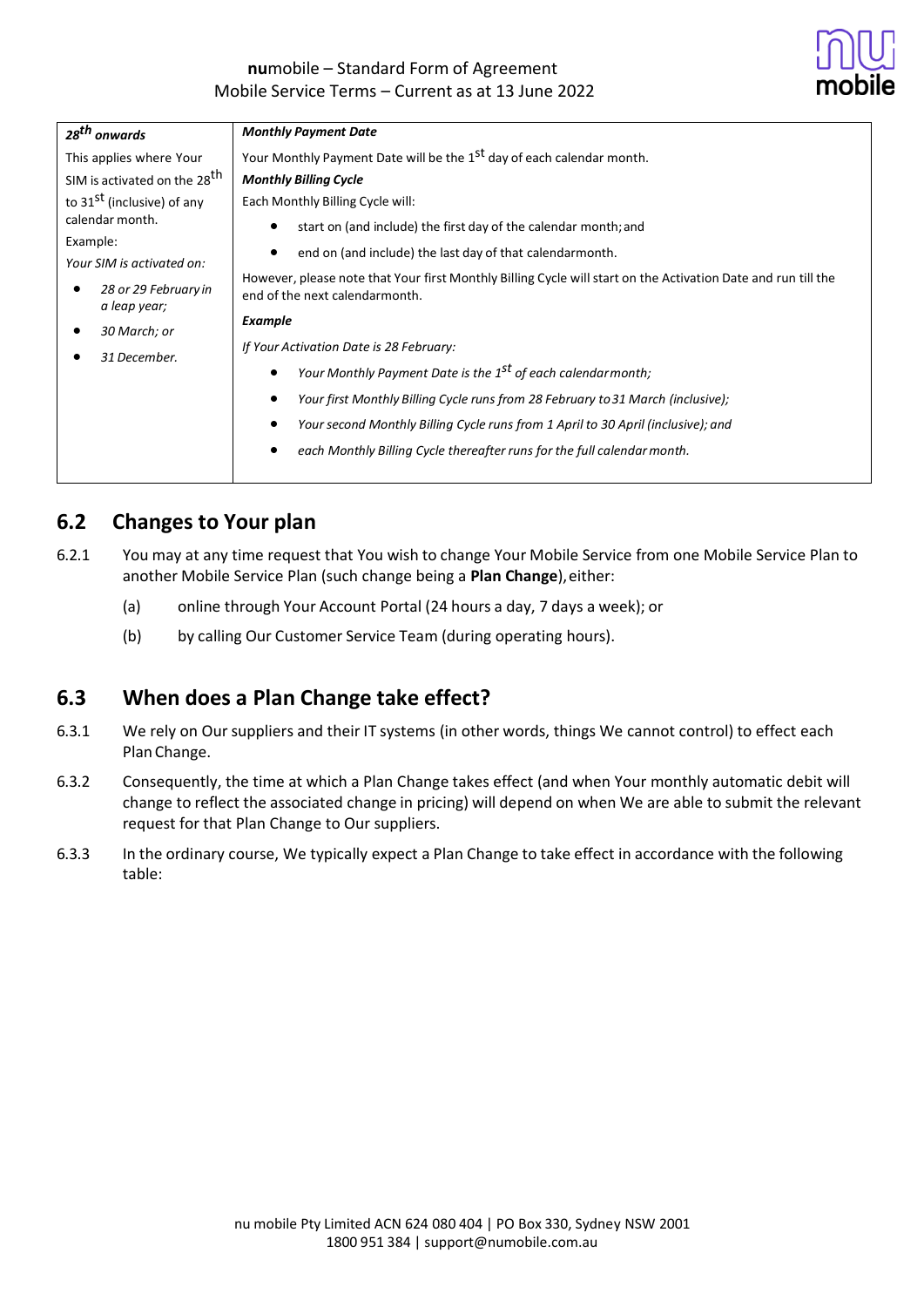

|                                                                                                                                                                                                       | <b>Monthly Payment Date</b>                                                                                                                                                                                                                                                                                                                                                                                       |
|-------------------------------------------------------------------------------------------------------------------------------------------------------------------------------------------------------|-------------------------------------------------------------------------------------------------------------------------------------------------------------------------------------------------------------------------------------------------------------------------------------------------------------------------------------------------------------------------------------------------------------------|
| 28 <sup>th</sup> onwards<br>This applies where Your<br>SIM is activated on the 28 <sup>th</sup><br>to 31 <sup>st</sup> (inclusive) of any<br>calendar month.<br>Example:<br>Your SIM is activated on: | Your Monthly Payment Date will be the 1 <sup>st</sup> day of each calendar month.<br><b>Monthly Billing Cycle</b><br>Each Monthly Billing Cycle will:<br>start on (and include) the first day of the calendar month; and<br>end on (and include) the last day of that calendarmonth.<br>However, please note that Your first Monthly Billing Cycle will start on the Activation Date and run till the             |
| 28 or 29 February in<br>a leap year;<br>30 March; or<br>31 December.                                                                                                                                  | end of the next calendarmonth.<br>Example<br>If Your Activation Date is 28 February:<br>Your Monthly Payment Date is the 1 <sup>st</sup> of each calendarmonth;<br>Your first Monthly Billing Cycle runs from 28 February to 31 March (inclusive);<br>Your second Monthly Billing Cycle runs from 1 April to 30 April (inclusive); and<br>each Monthly Billing Cycle thereafter runs for the full calendar month. |

## **6.2 Changes to Your plan**

- 6.2.1 You may at any time request that You wish to change Your Mobile Service from one Mobile Service Plan to another Mobile Service Plan (such change being a Plan Change), either:
	- (a) online through Your Account Portal (24 hours a day, 7 days a week); or
	- (b) by calling Our Customer Service Team (during operating hours).

## **6.3 When does a Plan Change take effect?**

- 6.3.1 We rely on Our suppliers and their IT systems (in other words, things We cannot control) to effect each Plan Change.
- 6.3.2 Consequently, the time at which a Plan Change takes effect (and when Your monthly automatic debit will change to reflect the associated change in pricing) will depend on when We are able to submit the relevant request for that Plan Change to Our suppliers.
- 6.3.3 In the ordinary course, We typically expect a Plan Change to take effect in accordance with the following table: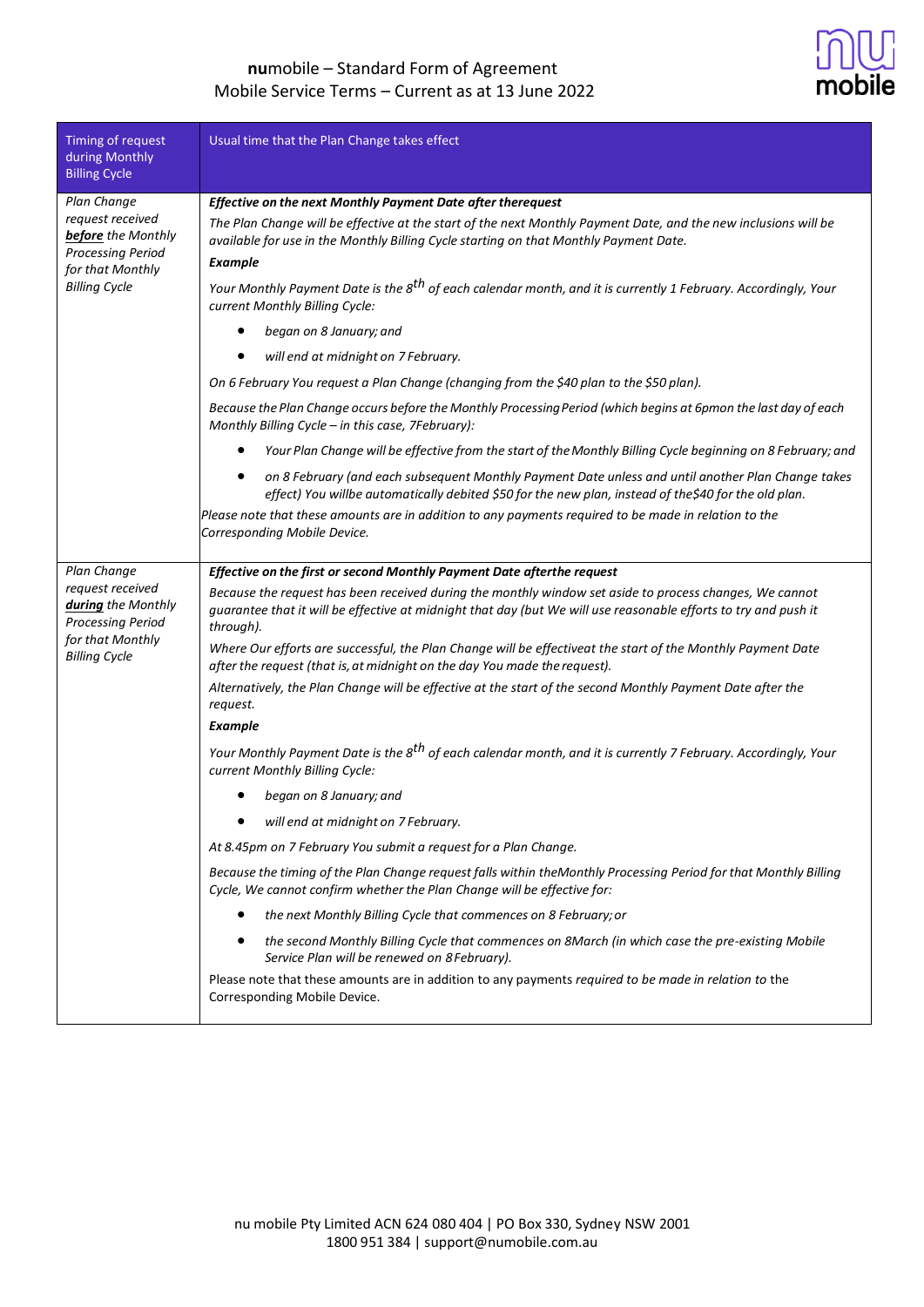

| Timing of request<br>during Monthly<br><b>Billing Cycle</b>                                                           | Usual time that the Plan Change takes effect                                                                                                                                                                                            |
|-----------------------------------------------------------------------------------------------------------------------|-----------------------------------------------------------------------------------------------------------------------------------------------------------------------------------------------------------------------------------------|
| Plan Change                                                                                                           | Effective on the next Monthly Payment Date after therequest                                                                                                                                                                             |
| request received<br><b>before</b> the Monthly<br><b>Processing Period</b><br>for that Monthly<br><b>Billing Cycle</b> | The Plan Change will be effective at the start of the next Monthly Payment Date, and the new inclusions will be<br>available for use in the Monthly Billing Cycle starting on that Monthly Payment Date.<br><b>Example</b>              |
|                                                                                                                       | Your Monthly Payment Date is the 8 <sup>th</sup> of each calendar month, and it is currently 1 February. Accordingly, Your<br>current Monthly Billing Cycle:                                                                            |
|                                                                                                                       | began on 8 January; and                                                                                                                                                                                                                 |
|                                                                                                                       | will end at midnight on 7 February.                                                                                                                                                                                                     |
|                                                                                                                       | On 6 February You request a Plan Change (changing from the \$40 plan to the \$50 plan).                                                                                                                                                 |
|                                                                                                                       | Because the Plan Change occurs before the Monthly Processing Period (which begins at 6pmon the last day of each<br>Monthly Billing Cycle - in this case, 7February):                                                                    |
|                                                                                                                       | Your Plan Change will be effective from the start of the Monthly Billing Cycle beginning on 8 February; and<br>٠                                                                                                                        |
|                                                                                                                       | on 8 February (and each subsequent Monthly Payment Date unless and until another Plan Change takes<br>$\bullet$<br>effect) You willbe automatically debited \$50 for the new plan, instead of the\$40 for the old plan.                 |
|                                                                                                                       | Please note that these amounts are in addition to any payments required to be made in relation to the<br>Corresponding Mobile Device.                                                                                                   |
| Plan Change                                                                                                           | Effective on the first or second Monthly Payment Date afterthe request                                                                                                                                                                  |
| request received<br>during the Monthly<br><b>Processing Period</b><br>for that Monthly<br><b>Billing Cycle</b>        | Because the request has been received during the monthly window set aside to process changes, We cannot<br>guarantee that it will be effective at midnight that day (but We will use reasonable efforts to try and push it<br>through). |
|                                                                                                                       | Where Our efforts are successful, the Plan Change will be effectiveat the start of the Monthly Payment Date<br>after the request (that is, at midnight on the day You made the request).                                                |
|                                                                                                                       | Alternatively, the Plan Change will be effective at the start of the second Monthly Payment Date after the<br>request.                                                                                                                  |
|                                                                                                                       | <b>Example</b>                                                                                                                                                                                                                          |
|                                                                                                                       | Your Monthly Payment Date is the 8 <sup>th</sup> of each calendar month, and it is currently 7 February. Accordingly, Your<br>current Monthly Billing Cycle:                                                                            |
|                                                                                                                       | began on 8 January; and                                                                                                                                                                                                                 |
|                                                                                                                       | will end at midnight on 7 February.                                                                                                                                                                                                     |
|                                                                                                                       | At 8.45pm on 7 February You submit a request for a Plan Change.                                                                                                                                                                         |
|                                                                                                                       | Because the timing of the Plan Change request falls within theMonthly Processing Period for that Monthly Billing<br>Cycle, We cannot confirm whether the Plan Change will be effective for:                                             |
|                                                                                                                       | the next Monthly Billing Cycle that commences on 8 February; or                                                                                                                                                                         |
|                                                                                                                       | the second Monthly Billing Cycle that commences on 8March (in which case the pre-existing Mobile<br>٠<br>Service Plan will be renewed on 8 February).                                                                                   |
|                                                                                                                       | Please note that these amounts are in addition to any payments required to be made in relation to the<br>Corresponding Mobile Device.                                                                                                   |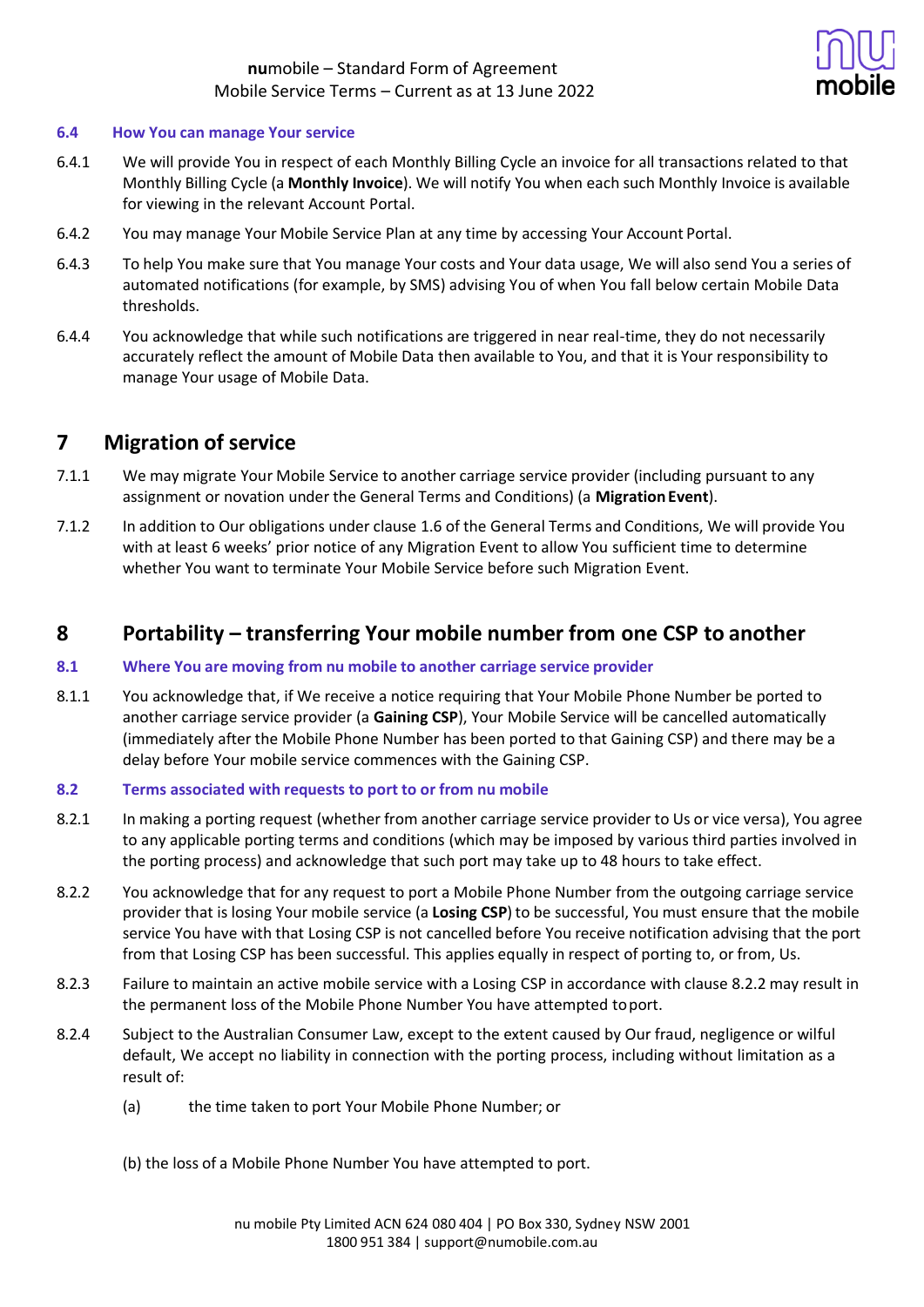

#### **6.4 How You can manage Your service**

- 6.4.1 We will provide You in respect of each Monthly Billing Cycle an invoice for all transactions related to that Monthly Billing Cycle (a **Monthly Invoice**). We will notify You when each such Monthly Invoice is available for viewing in the relevant Account Portal.
- 6.4.2 You may manage Your Mobile Service Plan at any time by accessing Your Account Portal.
- 6.4.3 To help You make sure that You manage Your costs and Your data usage, We will also send You a series of automated notifications (for example, by SMS) advising You of when You fall below certain Mobile Data thresholds.
- 6.4.4 You acknowledge that while such notifications are triggered in near real-time, they do not necessarily accurately reflect the amount of Mobile Data then available to You, and that it is Your responsibility to manage Your usage of Mobile Data.

## **7 Migration of service**

- 7.1.1 We may migrate Your Mobile Service to another carriage service provider (including pursuant to any assignment or novation under the General Terms and Conditions) (a **MigrationEvent**).
- 7.1.2 In addition to Our obligations under clause 1.6 of the General Terms and Conditions, We will provide You with at least 6 weeks' prior notice of any Migration Event to allow You sufficient time to determine whether You want to terminate Your Mobile Service before such Migration Event.

## **8 Portability – transferring Your mobile number from one CSP to another**

### **8.1 Where You are moving from nu mobile to another carriage service provider**

8.1.1 You acknowledge that, if We receive a notice requiring that Your Mobile Phone Number be ported to another carriage service provider (a **Gaining CSP**), Your Mobile Service will be cancelled automatically (immediately after the Mobile Phone Number has been ported to that Gaining CSP) and there may be a delay before Your mobile service commences with the Gaining CSP.

### **8.2 Terms associated with requests to port to or from nu mobile**

- 8.2.1 In making a porting request (whether from another carriage service provider to Us or vice versa), You agree to any applicable porting terms and conditions (which may be imposed by various third parties involved in the porting process) and acknowledge that such port may take up to 48 hours to take effect.
- 8.2.2 You acknowledge that for any request to port a Mobile Phone Number from the outgoing carriage service provider that is losing Your mobile service (a **Losing CSP**) to be successful, You must ensure that the mobile service You have with that Losing CSP is not cancelled before You receive notification advising that the port from that Losing CSP has been successful. This applies equally in respect of porting to, or from, Us.
- 8.2.3 Failure to maintain an active mobile service with a Losing CSP in accordance with clause 8.2.2 may result in the permanent loss of the Mobile Phone Number You have attempted toport.
- 8.2.4 Subject to the Australian Consumer Law, except to the extent caused by Our fraud, negligence or wilful default, We accept no liability in connection with the porting process, including without limitation as a result of:
	- (a) the time taken to port Your Mobile Phone Number; or
	- (b) the loss of a Mobile Phone Number You have attempted to port.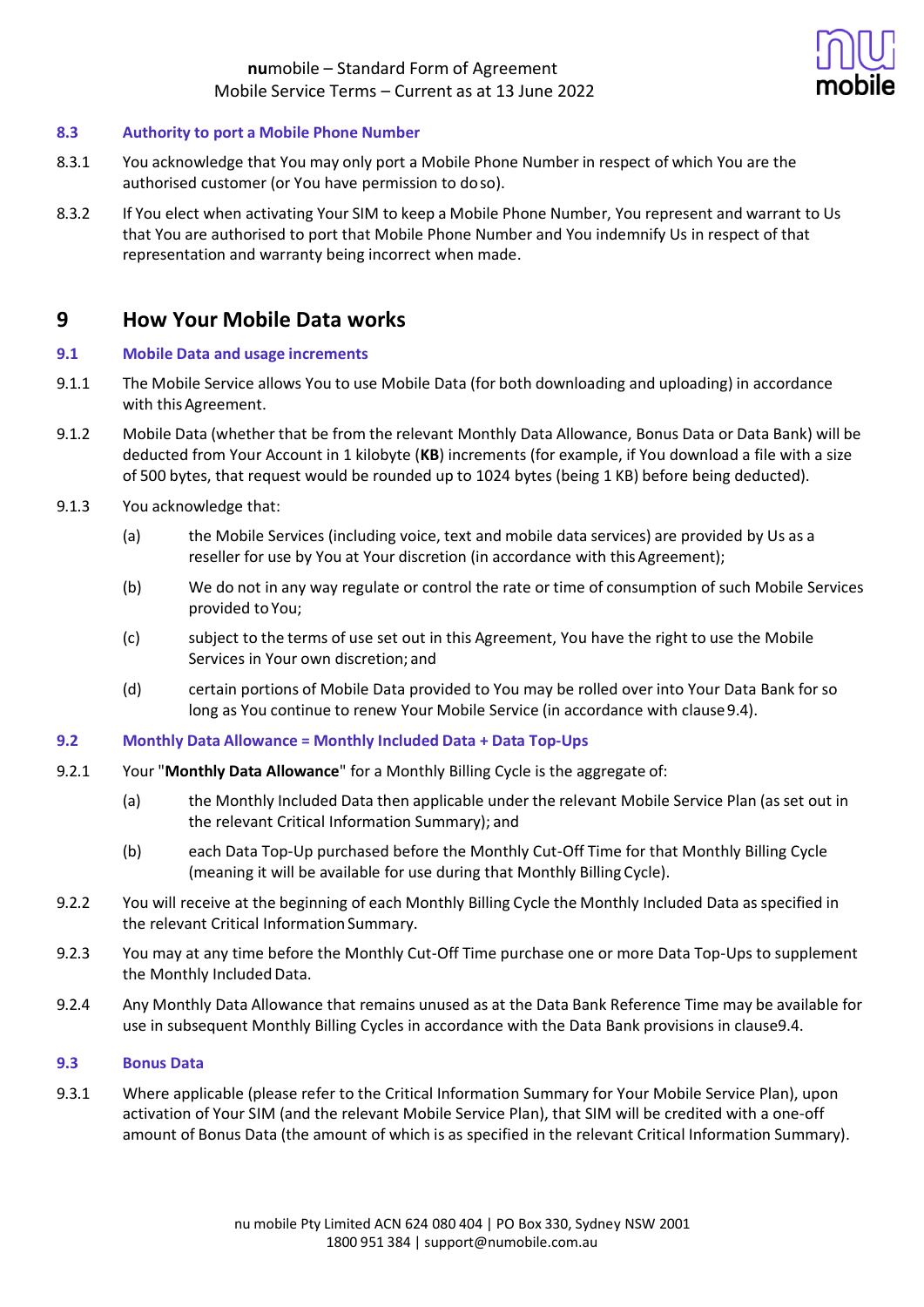

### **8.3 Authority to port a Mobile Phone Number**

- 8.3.1 You acknowledge that You may only port a Mobile Phone Number in respect of which You are the authorised customer (or You have permission to doso).
- 8.3.2 If You elect when activating Your SIM to keep a Mobile Phone Number, You represent and warrant to Us that You are authorised to port that Mobile Phone Number and You indemnify Us in respect of that representation and warranty being incorrect when made.

## **9 How Your Mobile Data works**

### **9.1 Mobile Data and usage increments**

- 9.1.1 The Mobile Service allows You to use Mobile Data (for both downloading and uploading) in accordance with this Agreement.
- 9.1.2 Mobile Data (whether that be from the relevant Monthly Data Allowance, Bonus Data or Data Bank) will be deducted from Your Account in 1 kilobyte (**KB**) increments (for example, if You download a file with a size of 500 bytes, that request would be rounded up to 1024 bytes (being 1 KB) before being deducted).
- 9.1.3 You acknowledge that:
	- (a) the Mobile Services (including voice, text and mobile data services) are provided by Us as a reseller for use by You at Your discretion (in accordance with this Agreement);
	- (b) We do not in any way regulate or control the rate or time of consumption of such Mobile Services provided to You;
	- (c) subject to the terms of use set out in this Agreement, You have the right to use the Mobile Services in Your own discretion; and
	- (d) certain portions of Mobile Data provided to You may be rolled over into Your Data Bank for so long as You continue to renew Your Mobile Service (in accordance with clause9.4).

### **9.2 Monthly Data Allowance = Monthly Included Data + Data Top-Ups**

- 9.2.1 Your "**Monthly Data Allowance**" for a Monthly Billing Cycle is the aggregate of:
	- (a) the Monthly Included Data then applicable under the relevant Mobile Service Plan (as set out in the relevant Critical Information Summary); and
	- (b) each Data Top-Up purchased before the Monthly Cut-Off Time for that Monthly Billing Cycle (meaning it will be available for use during that Monthly Billing Cycle).
- 9.2.2 You will receive at the beginning of each Monthly Billing Cycle the Monthly Included Data as specified in the relevant Critical Information Summary.
- 9.2.3 You may at any time before the Monthly Cut-Off Time purchase one or more Data Top-Ups to supplement the Monthly Included Data.
- 9.2.4 Any Monthly Data Allowance that remains unused as at the Data Bank Reference Time may be available for use in subsequent Monthly Billing Cycles in accordance with the Data Bank provisions in clause9.4.

### **9.3 Bonus Data**

9.3.1 Where applicable (please refer to the Critical Information Summary for Your Mobile Service Plan), upon activation of Your SIM (and the relevant Mobile Service Plan), that SIM will be credited with a one-off amount of Bonus Data (the amount of which is as specified in the relevant Critical Information Summary).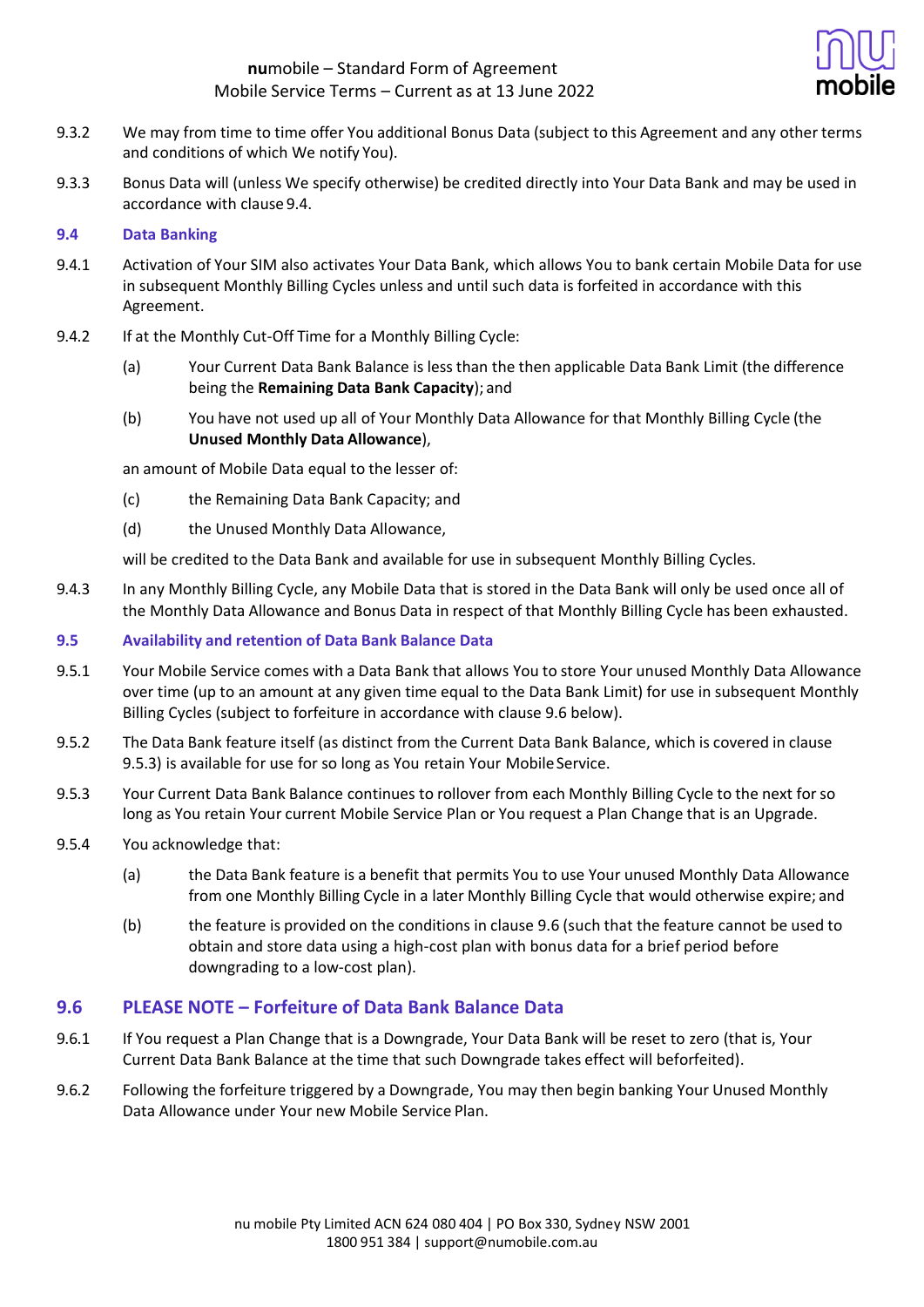

- 9.3.2 We may from time to time offer You additional Bonus Data (subject to this Agreement and any other terms and conditions of which We notify You).
- 9.3.3 Bonus Data will (unless We specify otherwise) be credited directly into Your Data Bank and may be used in accordance with clause 9.4.

### **9.4 Data Banking**

- 9.4.1 Activation of Your SIM also activates Your Data Bank, which allows You to bank certain Mobile Data for use in subsequent Monthly Billing Cycles unless and until such data is forfeited in accordance with this Agreement.
- 9.4.2 If at the Monthly Cut-Off Time for a Monthly Billing Cycle:
	- (a) Your Current Data Bank Balance is less than the then applicable Data Bank Limit (the difference being the **Remaining Data Bank Capacity**); and
	- (b) You have not used up all of Your Monthly Data Allowance for that Monthly Billing Cycle (the **Unused Monthly Data Allowance**),

an amount of Mobile Data equal to the lesser of:

- (c) the Remaining Data Bank Capacity; and
- (d) the Unused Monthly Data Allowance,

will be credited to the Data Bank and available for use in subsequent Monthly Billing Cycles.

9.4.3 In any Monthly Billing Cycle, any Mobile Data that is stored in the Data Bank will only be used once all of the Monthly Data Allowance and Bonus Data in respect of that Monthly Billing Cycle has been exhausted.

### **9.5 Availability and retention of Data Bank Balance Data**

- 9.5.1 Your Mobile Service comes with a Data Bank that allows You to store Your unused Monthly Data Allowance over time (up to an amount at any given time equal to the Data Bank Limit) for use in subsequent Monthly Billing Cycles (subject to forfeiture in accordance with clause 9.6 below).
- 9.5.2 The Data Bank feature itself (as distinct from the Current Data Bank Balance, which is covered in clause 9.5.3) is available for use for so long as You retain Your Mobile Service.
- 9.5.3 Your Current Data Bank Balance continues to rollover from each Monthly Billing Cycle to the next for so long as You retain Your current Mobile Service Plan or You request a Plan Change that is an Upgrade.
- 9.5.4 You acknowledge that:
	- (a) the Data Bank feature is a benefit that permits You to use Your unused Monthly Data Allowance from one Monthly Billing Cycle in a later Monthly Billing Cycle that would otherwise expire; and
	- (b) the feature is provided on the conditions in clause 9.6 (such that the feature cannot be used to obtain and store data using a high-cost plan with bonus data for a brief period before downgrading to a low-cost plan).

### **9.6 PLEASE NOTE – Forfeiture of Data Bank Balance Data**

- 9.6.1 If You request a Plan Change that is a Downgrade, Your Data Bank will be reset to zero (that is, Your Current Data Bank Balance at the time that such Downgrade takes effect will beforfeited).
- 9.6.2 Following the forfeiture triggered by a Downgrade, You may then begin banking Your Unused Monthly Data Allowance under Your new Mobile Service Plan.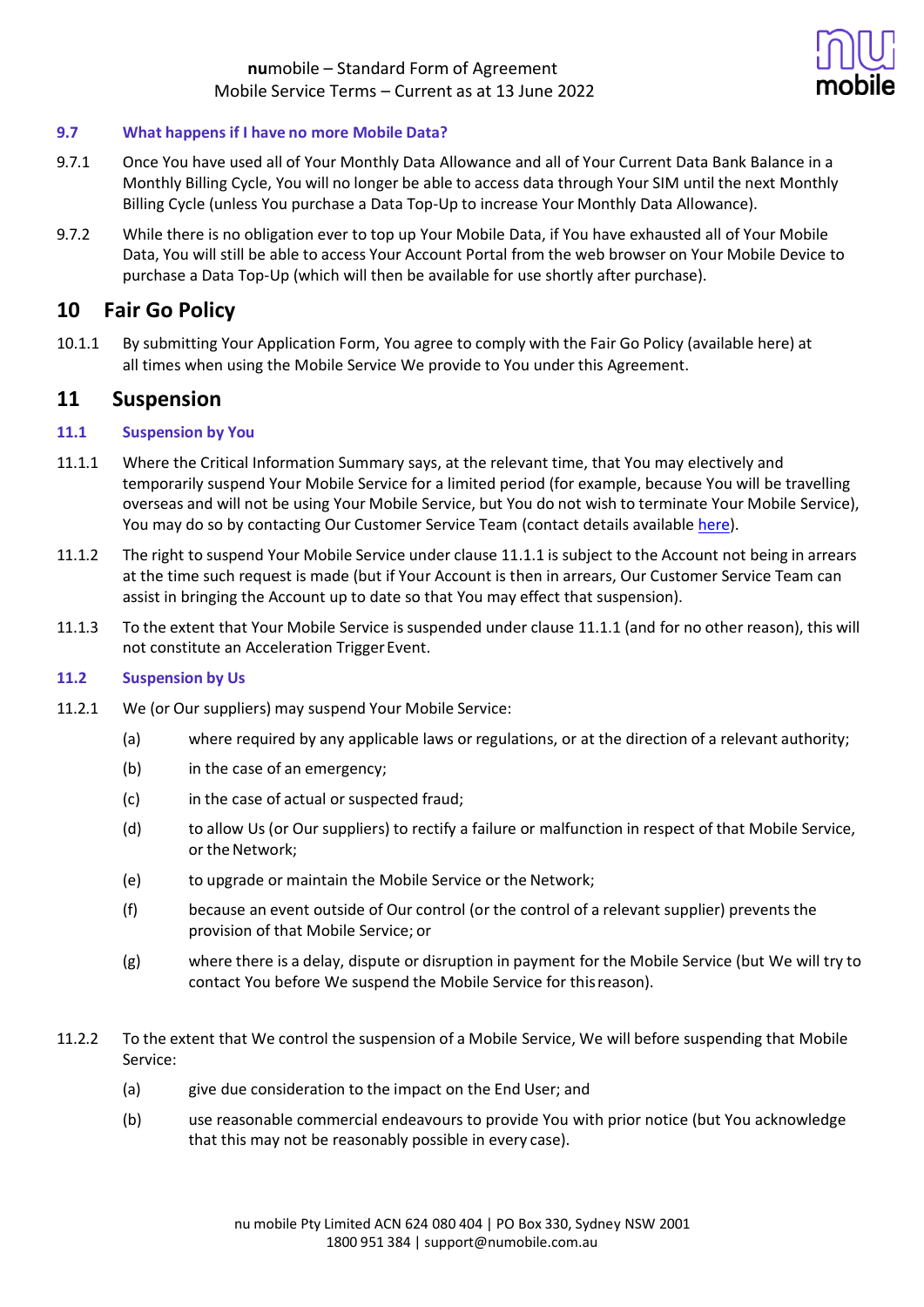

### **9.7 What happens if I have no more Mobile Data?**

- 9.7.1 Once You have used all of Your Monthly Data Allowance and all of Your Current Data Bank Balance in a Monthly Billing Cycle, You will no longer be able to access data through Your SIM until the next Monthly Billing Cycle (unless You purchase a Data Top-Up to increase Your Monthly Data Allowance).
- 9.7.2 While there is no obligation ever to top up Your Mobile Data, if You have exhausted all of Your Mobile Data, You will still be able to access Your Account Portal from the web browser on Your Mobile Device to purchase a Data Top-Up (which will then be available for use shortly after purchase).

## **10 Fair Go Policy**

10.1.1 By submitting Your Application Form, You agree to comply with the Fair Go Policy (available here) at all times when using the Mobile Service We provide to You under this Agreement.

## **11 Suspension**

### **11.1 Suspension by You**

- 11.1.1 Where the Critical Information Summary says, at the relevant time, that You may electively and temporarily suspend Your Mobile Service for a limited period (for example, because You will be travelling overseas and will not be using Your Mobile Service, but You do not wish to terminate Your Mobile Service), You may do so by contacting Our Customer Service Team (contact details available [here\)](https://help.numobile.com.au/hc/en-us).
- 11.1.2 The right to suspend Your Mobile Service under clause 11.1.1 is subject to the Account not being in arrears at the time such request is made (but if Your Account is then in arrears, Our Customer Service Team can assist in bringing the Account up to date so that You may effect that suspension).
- 11.1.3 To the extent that Your Mobile Service is suspended under clause 11.1.1 (and for no other reason), this will not constitute an Acceleration Trigger Event.

### **11.2 Suspension by Us**

- 11.2.1 We (or Our suppliers) may suspend Your Mobile Service:
	- (a) where required by any applicable laws or regulations, or at the direction of a relevant authority;
	- (b) in the case of an emergency;
	- (c) in the case of actual or suspected fraud;
	- (d) to allow Us (or Our suppliers) to rectify a failure or malfunction in respect of that Mobile Service, or the Network;
	- (e) to upgrade or maintain the Mobile Service or the Network;
	- (f) because an event outside of Our control (or the control of a relevant supplier) prevents the provision of that Mobile Service; or
	- (g) where there is a delay, dispute or disruption in payment for the Mobile Service (but We will try to contact You before We suspend the Mobile Service for thisreason).
- 11.2.2 To the extent that We control the suspension of a Mobile Service, We will before suspending that Mobile Service:
	- (a) give due consideration to the impact on the End User; and
	- (b) use reasonable commercial endeavours to provide You with prior notice (but You acknowledge that this may not be reasonably possible in every case).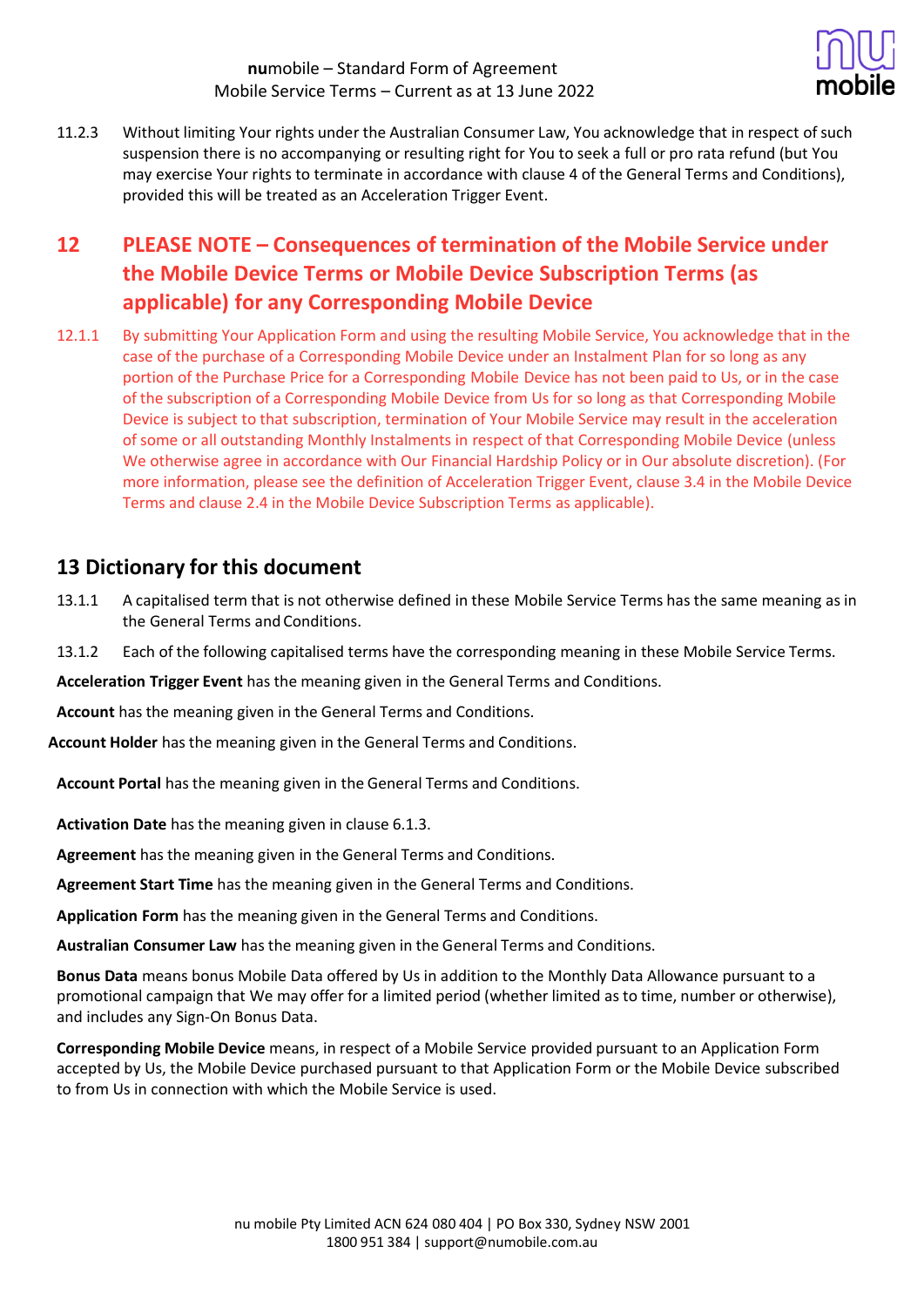

11.2.3 Without limiting Your rights under the Australian Consumer Law, You acknowledge that in respect ofsuch suspension there is no accompanying or resulting right for You to seek a full or pro rata refund (but You may exercise Your rights to terminate in accordance with clause 4 of the General Terms and Conditions), provided this will be treated as an Acceleration Trigger Event.

# **12 PLEASE NOTE – Consequences of termination of the Mobile Service under the Mobile Device Terms or Mobile Device Subscription Terms (as applicable) for any Corresponding Mobile Device**

12.1.1 By submitting Your Application Form and using the resulting Mobile Service, You acknowledge that in the case of the purchase of a Corresponding Mobile Device under an Instalment Plan for so long as any portion of the Purchase Price for a Corresponding Mobile Device has not been paid to Us, or in the case of the subscription of a Corresponding Mobile Device from Us for so long as that Corresponding Mobile Device is subject to that subscription, termination of Your Mobile Service may result in the acceleration of some or all outstanding Monthly Instalments in respect of that Corresponding Mobile Device (unless We otherwise agree in accordance with Our Financial Hardship Policy or in Our absolute discretion). (For more information, please see the definition of Acceleration Trigger Event, clause 3.4 in the Mobile Device Terms and clause 2.4 in the Mobile Device Subscription Terms as applicable).

## **13 Dictionary for this document**

- 13.1.1 A capitalised term that is not otherwise defined in these Mobile Service Terms has the same meaning as in the General Terms and Conditions.
- 13.1.2 Each of the following capitalised terms have the corresponding meaning in these Mobile Service Terms.

**Acceleration Trigger Event** has the meaning given in the General Terms and Conditions.

**Account** has the meaning given in the General Terms and Conditions.

**Account Holder** has the meaning given in the General Terms and Conditions.

**Account Portal** has the meaning given in the General Terms and Conditions.

**Activation Date** has the meaning given in clause 6.1.3.

**Agreement** has the meaning given in the General Terms and Conditions.

**Agreement Start Time** has the meaning given in the General Terms and Conditions.

**Application Form** has the meaning given in the General Terms and Conditions.

**Australian Consumer Law** has the meaning given in the General Terms and Conditions.

**Bonus Data** means bonus Mobile Data offered by Us in addition to the Monthly Data Allowance pursuant to a promotional campaign that We may offer for a limited period (whether limited as to time, number or otherwise), and includes any Sign-On Bonus Data.

**Corresponding Mobile Device** means, in respect of a Mobile Service provided pursuant to an Application Form accepted by Us, the Mobile Device purchased pursuant to that Application Form or the Mobile Device subscribed to from Us in connection with which the Mobile Service is used.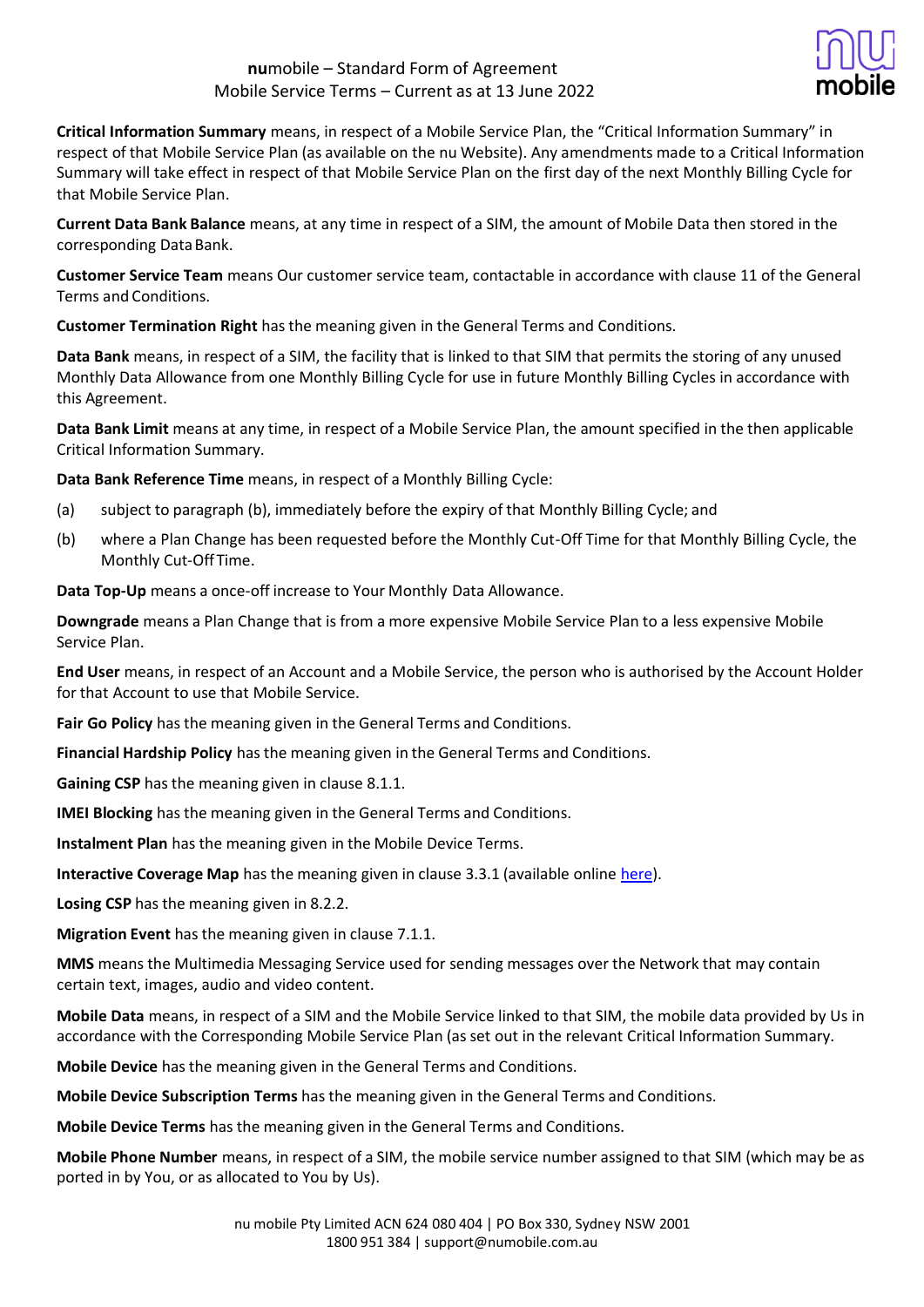

**Critical Information Summary** means, in respect of a Mobile Service Plan, the "Critical Information Summary" in respect of that Mobile Service Plan (as available on the nu Website). Any amendments made to a Critical Information Summary will take effect in respect of that Mobile Service Plan on the first day of the next Monthly Billing Cycle for that Mobile Service Plan.

**Current Data Bank Balance** means, at any time in respect of a SIM, the amount of Mobile Data then stored in the corresponding Data Bank.

**Customer Service Team** means Our customer service team, contactable in accordance with clause 11 of the General Terms and Conditions.

**Customer Termination Right** has the meaning given in the General Terms and Conditions.

**Data Bank** means, in respect of a SIM, the facility that is linked to that SIM that permits the storing of any unused Monthly Data Allowance from one Monthly Billing Cycle for use in future Monthly Billing Cycles in accordance with this Agreement.

**Data Bank Limit** means at any time, in respect of a Mobile Service Plan, the amount specified in the then applicable Critical Information Summary.

**Data Bank Reference Time** means, in respect of a Monthly Billing Cycle:

- (a) subject to paragraph (b), immediately before the expiry of that Monthly Billing Cycle; and
- (b) where a Plan Change has been requested before the Monthly Cut-Off Time for that Monthly Billing Cycle, the Monthly Cut-Off Time.

**Data Top-Up** means a once-off increase to Your Monthly Data Allowance.

**Downgrade** means a Plan Change that is from a more expensive Mobile Service Plan to a less expensive Mobile Service Plan.

**End User** means, in respect of an Account and a Mobile Service, the person who is authorised by the Account Holder for that Account to use that Mobile Service.

**Fair Go Policy** has the meaning given in the General Terms and Conditions.

**Financial Hardship Policy** has the meaning given in the General Terms and Conditions.

**Gaining CSP** has the meaning given in clause 8.1.1.

**IMEI Blocking** has the meaning given in the General Terms and Conditions.

**Instalment Plan** has the meaning given in the Mobile Device Terms.

**Interactive Coverage Map** has the meaning given in clause 3.3.1 (available online [here\)](https://www.numobile.com.au/network-coverage).

**Losing CSP** has the meaning given in 8.2.2.

**Migration Event** has the meaning given in clause 7.1.1.

**MMS** means the Multimedia Messaging Service used for sending messages over the Network that may contain certain text, images, audio and video content.

**Mobile Data** means, in respect of a SIM and the Mobile Service linked to that SIM, the mobile data provided by Us in accordance with the Corresponding Mobile Service Plan (as set out in the relevant Critical Information Summary.

**Mobile Device** has the meaning given in the General Terms and Conditions.

**Mobile Device Subscription Terms** has the meaning given in the General Terms and Conditions.

**Mobile Device Terms** has the meaning given in the General Terms and Conditions.

**Mobile Phone Number** means, in respect of a SIM, the mobile service number assigned to that SIM (which may be as ported in by You, or as allocated to You by Us).